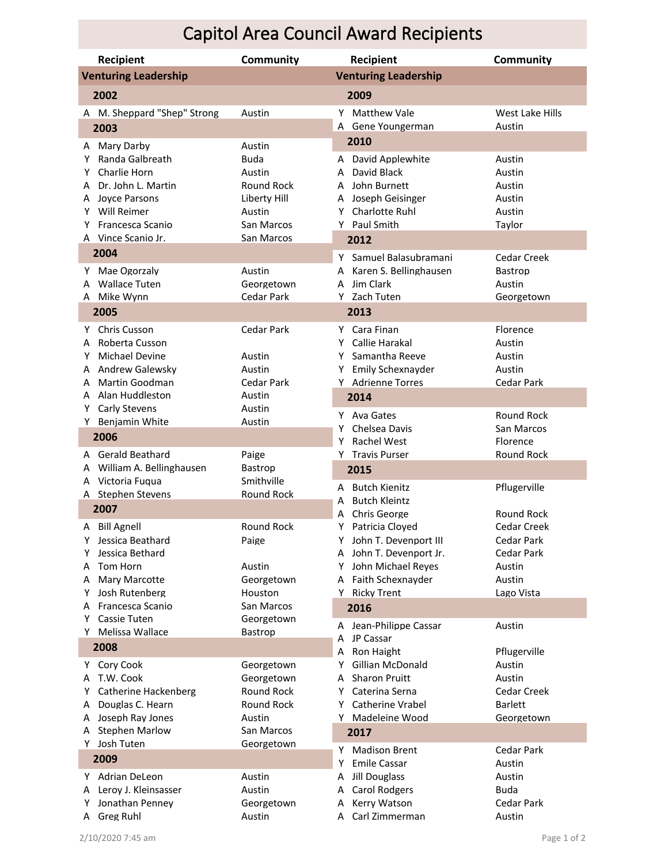## Capitol Area Council Award Recipients

| <b>Recipient</b>                     |                                    | <b>Community</b>                | Community<br>Recipient                                                        |  |  |
|--------------------------------------|------------------------------------|---------------------------------|-------------------------------------------------------------------------------|--|--|
| <b>Venturing Leadership</b>          |                                    |                                 | <b>Venturing Leadership</b>                                                   |  |  |
| 2002<br>2009                         |                                    |                                 |                                                                               |  |  |
|                                      | A M. Sheppard "Shep" Strong        | Austin                          | Y Matthew Vale<br>West Lake Hills                                             |  |  |
|                                      | 2003                               |                                 | A Gene Youngerman<br>Austin                                                   |  |  |
|                                      | A Mary Darby                       | Austin                          | 2010                                                                          |  |  |
| Y                                    | Randa Galbreath                    | <b>Buda</b>                     | David Applewhite<br>Austin<br>A                                               |  |  |
| Y                                    | Charlie Horn                       | Austin                          | David Black<br>Austin<br>A                                                    |  |  |
|                                      | A Dr. John L. Martin               | <b>Round Rock</b>               | A John Burnett<br>Austin                                                      |  |  |
|                                      | A Jovce Parsons                    | Liberty Hill                    | Joseph Geisinger<br>Austin<br>A                                               |  |  |
| Y                                    | Will Reimer                        | Austin                          | Charlotte Ruhl<br>Austin<br>Y                                                 |  |  |
| Y                                    | <b>Francesca Scanio</b>            | San Marcos                      | Y Paul Smith<br>Taylor                                                        |  |  |
|                                      | A Vince Scanio Jr.                 | San Marcos                      | 2012                                                                          |  |  |
|                                      | 2004                               |                                 | Υ<br>Samuel Balasubramani<br>Cedar Creek                                      |  |  |
| Y.                                   | Mae Ogorzaly                       | Austin                          | Karen S. Bellinghausen<br>Bastrop<br>A                                        |  |  |
|                                      | A Wallace Tuten                    | Georgetown                      | Jim Clark<br>Austin<br>A                                                      |  |  |
|                                      | A Mike Wynn                        | Cedar Park                      | Y Zach Tuten<br>Georgetown                                                    |  |  |
| 2005                                 |                                    |                                 | 2013                                                                          |  |  |
| Y                                    | <b>Chris Cusson</b>                | <b>Cedar Park</b>               | Y Cara Finan<br>Florence                                                      |  |  |
| A                                    | Roberta Cusson                     |                                 | Callie Harakal<br>Austin<br>Y                                                 |  |  |
| Y                                    | <b>Michael Devine</b>              | Austin                          | Samantha Reeve<br>Austin<br>Y.                                                |  |  |
| A                                    | <b>Andrew Galewsky</b>             | Austin                          | Emily Schexnayder<br>Austin<br>Y                                              |  |  |
| A                                    | Martin Goodman                     | <b>Cedar Park</b>               | Y Adrienne Torres<br>Cedar Park                                               |  |  |
|                                      | A Alan Huddleston                  | Austin                          | 2014                                                                          |  |  |
|                                      | Y Carly Stevens                    | Austin                          | Round Rock<br>Y Ava Gates                                                     |  |  |
|                                      | Y Benjamin White                   | Austin                          | Chelsea Davis<br>San Marcos<br>Y                                              |  |  |
|                                      | 2006                               |                                 | <b>Rachel West</b><br>Florence<br>Y                                           |  |  |
|                                      | A Gerald Beathard                  | Paige                           | Y Travis Purser<br>Round Rock                                                 |  |  |
|                                      | A William A. Bellinghausen         | Bastrop                         | 2015                                                                          |  |  |
|                                      | A Victoria Fuqua                   | Smithville                      | A Butch Kienitz<br>Pflugerville                                               |  |  |
|                                      | A Stephen Stevens                  | Round Rock                      | <b>Butch Kleintz</b><br>A                                                     |  |  |
| 2007                                 |                                    |                                 | <b>Round Rock</b><br>Chris George<br>A                                        |  |  |
|                                      | A Bill Agnell                      | Round Rock                      | Cedar Creek<br>Y Patricia Cloyed                                              |  |  |
| Y                                    | Jessica Beathard                   | Paige                           | John T. Devenport III<br>Cedar Park<br>Y                                      |  |  |
| Y                                    | Jessica Bethard                    |                                 | Cedar Park<br>A John T. Devenport Jr.                                         |  |  |
| A                                    | Tom Horn                           | Austin                          | John Michael Reyes<br>Austin<br>Y                                             |  |  |
| A                                    | <b>Mary Marcotte</b>               | Georgetown                      | A Faith Schexnayder<br>Austin                                                 |  |  |
| Y.                                   | Josh Rutenberg<br>Francesca Scanio | Houston                         | Y Ricky Trent<br>Lago Vista                                                   |  |  |
| A<br>Y                               | <b>Cassie Tuten</b>                | San Marcos<br>Georgetown        | 2016                                                                          |  |  |
|                                      |                                    |                                 | Jean-Philippe Cassar<br>Austin<br>A                                           |  |  |
| Y Melissa Wallace<br>Bastrop<br>2008 |                                    |                                 | JP Cassar<br>Α                                                                |  |  |
|                                      |                                    |                                 | Ron Haight<br>Pflugerville<br>Α                                               |  |  |
|                                      | Y Cory Cook<br>T.W. Cook           | Georgetown                      | Gillian McDonald<br>Austin<br>Y.<br><b>Sharon Pruitt</b><br>Austin            |  |  |
| A<br>Y.                              | Catherine Hackenberg               | Georgetown<br><b>Round Rock</b> | A<br>Cedar Creek<br>Y Caterina Serna                                          |  |  |
| A                                    | Douglas C. Hearn                   | Round Rock                      | Y Catherine Vrabel<br><b>Barlett</b>                                          |  |  |
| A                                    | Joseph Ray Jones                   | Austin                          | Y Madeleine Wood<br>Georgetown                                                |  |  |
|                                      | A Stephen Marlow                   | San Marcos                      | 2017                                                                          |  |  |
|                                      | Y Josh Tuten                       | Georgetown                      |                                                                               |  |  |
|                                      | 2009                               |                                 | Cedar Park<br><b>Madison Brent</b><br>Y<br><b>Emile Cassar</b><br>Y<br>Austin |  |  |
|                                      | Y Adrian DeLeon                    | Austin                          | Jill Douglass<br>Austin<br>Α                                                  |  |  |
|                                      | A Leroy J. Kleinsasser             | Austin                          | <b>Carol Rodgers</b><br>Buda<br>Α                                             |  |  |
| Y                                    | Jonathan Penney                    | Georgetown                      | Kerry Watson<br>Cedar Park<br>Α                                               |  |  |
|                                      | A Greg Ruhl                        | Austin                          | A Carl Zimmerman<br>Austin                                                    |  |  |